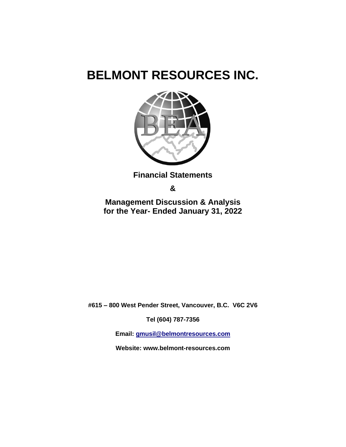

**Financial Statements** 

**&**

**Management Discussion & Analysis for the Year- Ended January 31, 2022**

**#615 – 800 West Pender Street, Vancouver, B.C. V6C 2V6**

**Tel (604) 787-7356**

**Email: [gmusil@belmontresources.com](mailto:gmusil@belmontresources.com)** 

**Website: www.belmont-resources.com**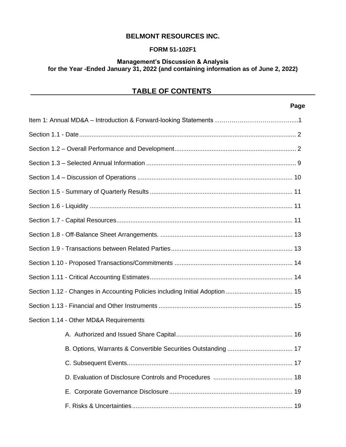# **FORM 51-102F1**

#### **Management's Discussion & Analysis for the Year -Ended January 31, 2022 (and containing information as of June 2, 2022)**

# **TABLE OF CONTENTS**

# **Page**

| Section 1.14 - Other MD&A Requirements |
|----------------------------------------|
|                                        |
|                                        |
|                                        |
|                                        |
|                                        |
|                                        |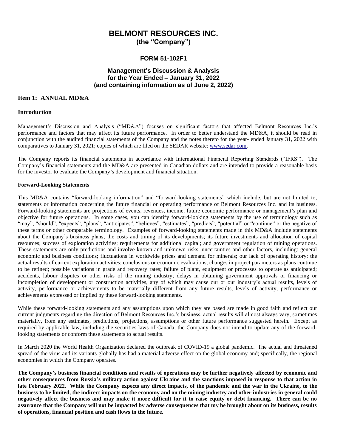**(the "Company")**

#### **FORM 51-102F1**

#### **Management's Discussion & Analysis for the Year Ended – January 31, 2022 (and containing information as of June 2, 2022)**

#### **Item 1: ANNUAL MD&A**

#### **Introduction**

Management's Discussion and Analysis ("MD&A") focuses on significant factors that affected Belmont Resources Inc.'s performance and factors that may affect its future performance. In order to better understand the MD&A, it should be read in conjunction with the audited financial statements of the Company and the notes thereto for the year- ended January 31, 2022 with comparatives to January 31, 2021; copies of which are filed on the SEDAR website: [www.sedar.com.](http://www.sedar.com/)

The Company reports its financial statements in accordance with International Financial Reporting Standards ("IFRS"). The Company's financial statements and the MD&A are presented in Canadian dollars and are intended to provide a reasonable basis for the investor to evaluate the Company's development and financial situation.

#### **Forward-Looking Statements**

This MD&A contains "forward-looking information" and "forward-looking statements" which include, but are not limited to, statements or information concerning the future financial or operating performance of Belmont Resources Inc. and its business. Forward-looking statements are projections of events, revenues, income, future economic performance or management's plan and objective for future operations. In some cases, you can identify forward-looking statements by the use of terminology such as "may", "should", "expects", "plans", "anticipates", "believes", "estimates", "predicts", "potential" or "continue" or the negative of these terms or other comparable terminology. Examples of forward-looking statements made in this MD&A include statements about the Company's business plans; the costs and timing of its developments; its future investments and allocation of capital resources; success of exploration activities; requirements for additional capital; and government regulation of mining operations. These statements are only predictions and involve known and unknown risks, uncertainties and other factors, including: general economic and business conditions; fluctuations in worldwide prices and demand for minerals; our lack of operating history; the actual results of current exploration activities; conclusions or economic evaluations; changes in project parameters as plans continue to be refined; possible variations in grade and recovery rates; failure of plant, equipment or processes to operate as anticipated; accidents, labour disputes or other risks of the mining industry; delays in obtaining government approvals or financing or incompletion of development or construction activities, any of which may cause our or our industry's actual results, levels of activity, performance or achievements to be materially different from any future results, levels of activity, performance or achievements expressed or implied by these forward-looking statements.

While these forward-looking statements and any assumptions upon which they are based are made in good faith and reflect our current judgments regarding the direction of Belmont Resources Inc.'s business, actual results will almost always vary, sometimes materially, from any estimates, predictions, projections, assumptions or other future performance suggested herein. Except as required by applicable law, including the securities laws of Canada, the Company does not intend to update any of the forwardlooking statements or conform these statements to actual results.

In March 2020 the World Health Organization declared the outbreak of COVID-19 a global pandemic. The actual and threatened spread of the virus and its variants globally has had a material adverse effect on the global economy and; specifically, the regional economies in which the Company operates.

**The Company's business financial conditions and results of operations may be further negatively affected by economic and other consequences from Russia's military action against Ukraine and the sanctions imposed in response to that action in late February 2022. While the Company expects any direct impacts, of the pandemic and the war in the Ukraine, to the business to be limited, the indirect impacts on the economy and on the mining industry and other industries in general could negatively affect the business and may make it more difficult for it to raise equity or debt financing. There can be no assurance that the Company will not be impacted by adverse consequences that my be brought about on its business, results of operations, financial position and cash flows in the future.**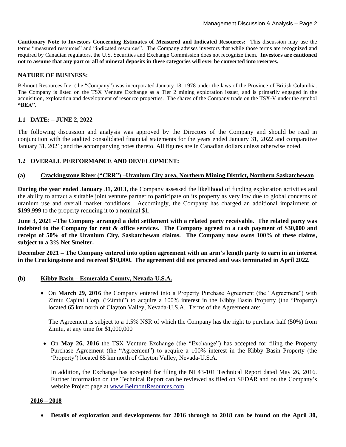**Cautionary Note to Investors Concerning Estimates of Measured and Indicated Resources:** This discussion may use the terms "measured resources" and "indicated resources". The Company advises investors that while those terms are recognized and required by Canadian regulators, the U.S. Securities and Exchange Commission does not recognize them. **Investors are cautioned not to assume that any part or all of mineral deposits in these categories will ever be converted into reserves.** 

# **NATURE OF BUSINESS:**

Belmont Resources Inc. (the "Company") was incorporated January 18, 1978 under the laws of the Province of British Columbia. The Company is listed on the TSX Venture Exchange as a Tier 2 mining exploration issuer, and is primarily engaged in the acquisition, exploration and development of resource properties. The shares of the Company trade on the TSX-V under the symbol **"BEA".**

# **1.1 DATE: – JUNE 2, 2022**

The following discussion and analysis was approved by the Directors of the Company and should be read in conjunction with the audited consolidated financial statements for the years ended January 31, 2022 and comparative January 31, 2021; and the accompanying notes thereto. All figures are in Canadian dollars unless otherwise noted.

# **1.2 OVERALL PERFORMANCE AND DEVELOPMENT:**

#### **(a) Crackingstone River ("CRR") –Uranium City area, Northern Mining District, Northern Saskatchewan**

**During the year ended January 31, 2013,** the Company assessed the likelihood of funding exploration activities and the ability to attract a suitable joint venture partner to participate on its property as very low due to global concerns of uranium use and overall market conditions. Accordingly, the Company has charged an additional impairment of \$199,999 to the property reducing it to a nominal \$1.

**June 3, 2021 –The Company arranged a debt settlement with a related party receivable. The related party was indebted to the Company for rent & office services. The Company agreed to a cash payment of \$30,000 and receipt of 50% of the Uranium City, Saskatchewan claims. The Company now owns 100% of these claims, subject to a 3% Net Smelter.**

**December 2021 – The Company entered into option agreement with an arm's length party to earn in an interest in the Crackingstone and received \$10,000. The agreement did not proceed and was terminated in April 2022.**

#### **(b) Kibby Basin – Esmeralda County, Nevada-U.S.A.**

• On **March 29, 2016** the Company entered into a Property Purchase Agreement (the "Agreement") with Zimtu Capital Corp. ("Zimtu") to acquire a 100% interest in the Kibby Basin Property (the "Property) located 65 km north of Clayton Valley, Nevada-U.S.A. Terms of the Agreement are:

 The Agreement is subject to a 1.5% NSR of which the Company has the right to purchase half (50%) from Zimtu, at any time for \$1,000,000

• On **May 26, 2016** the TSX Venture Exchange (the "Exchange") has accepted for filing the Property Purchase Agreement (the "Agreement") to acquire a 100% interest in the Kibby Basin Property (the 'Property') located 65 km north of Clayton Valley, Nevada-U.S.A.

In addition, the Exchange has accepted for filing the NI 43-101 Technical Report dated May 26, 2016. Further information on the Technical Report can be reviewed as filed on SEDAR and on the Company's website Project page at [www.BelmontResources.com](http://www.belmontresources.com/)

#### **2016 – 2018**

• **Details of exploration and developments for 2016 through to 2018 can be found on the April 30,**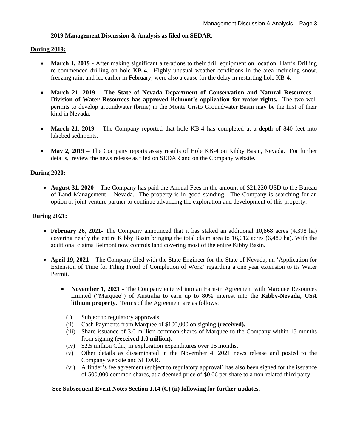#### **2019 Management Discussion & Analysis as filed on SEDAR.**

#### **During 2019:**

- **March 1, 2019** After making significant alterations to their drill equipment on location; Harris Drilling re-commenced drilling on hole KB-4. Highly unusual weather conditions in the area including snow, freezing rain, and ice earlier in February; were also a cause for the delay in restarting hole KB-4.
- **March 21, 2019 – The State of Nevada Department of Conservation and Natural Resources – Division of Water Resources has approved Belmont's application for water rights.** The two well permits to develop groundwater (brine) in the Monte Cristo Groundwater Basin may be the first of their kind in Nevada.
- **March 21, 2019** The Company reported that hole KB-4 has completed at a depth of 840 feet into lakebed sediments.
- **May 2, 2019** The Company reports assay results of Hole KB-4 on Kibby Basin, Nevada. For further details, review the news release as filed on SEDAR and on the Company website.

#### **During 2020:**

• **August 31, 2020** – The Company has paid the Annual Fees in the amount of \$21,220 USD to the Bureau of Land Management – Nevada. The property is in good standing. The Company is searching for an option or joint venture partner to continue advancing the exploration and development of this property.

#### **During 2021:**

- **February 26, 2021-** The Company announced that it has staked an additional 10,868 acres (4,398 ha) covering nearly the entire Kibby Basin bringing the total claim area to 16,012 acres (6,480 ha). With the additional claims Belmont now controls land covering most of the entire Kibby Basin.
- **April 19, 2021 –** The Company filed with the State Engineer for the State of Nevada, an 'Application for Extension of Time for Filing Proof of Completion of Work' regarding a one year extension to its Water Permit.
	- **November 1, 2021** The Company entered into an Earn-in Agreement with Marquee Resources Limited ("Marquee") of Australia to earn up to 80% interest into the **Kibby-Nevada, USA lithium property.** Terms of the Agreement are as follows:
		- (i) Subject to regulatory approvals.
		- (ii) Cash Payments from Marquee of \$100,000 on signing **(received).**
		- (iii) Share issuance of 3.0 million common shares of Marquee to the Company within 15 months from signing (**received 1.0 million).**
		- (iv) \$2.5 million Cdn., in exploration expenditures over 15 months.
		- (v) Other details as disseminated in the November 4, 2021 news release and posted to the Company website and SEDAR.
		- (vi) A finder's fee agreement (subject to regulatory approval) has also been signed for the issuance of 500,000 common shares, at a deemed price of \$0.06 per share to a non-related third party.

#### **See Subsequent Event Notes Section 1.14 (C) (ii) following for further updates.**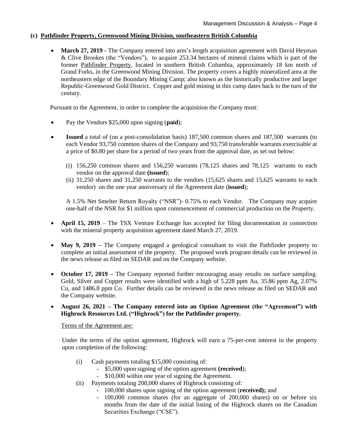#### **(c) Pathfinder Property, Greenwood Mining Division, southeastern British Columbia**

• **March 27, 2019** - The Company entered into arm's length acquisition agreement with David Heyman & Clive Brookes (the "Vendors"), to acquire 253.34 hectares of mineral claims which is part of the former Pathfinder Property, located in southern British Columbia, approximately 18 km north of Grand Forks, in the Greenwood Mining Division. The property covers a highly mineralized area at the northeastern edge of the Boundary Mining Camp; also known as the historically productive and larger Republic-Greenwood Gold District. Copper and gold mining in this camp dates back to the turn of the century.

Pursuant to the Agreement, in order to complete the acquisition the Company must:

- Pay the Vendors \$25,000 upon signing (**paid**);
- **Issued** a total of (on a post-consolidation basis) 187,500 common shares and 187,500 warrants (to each Vendor 93,750 common shares of the Company and 93,750 transferable warrants exercisable at a price of \$0.80 per share for a period of two years from the approval date, as set out below:
	- (i)  $156,250$  common shares and  $156,250$  warrants  $(78,125)$  shares and  $78,125$  warrants to each vendor on the approval date **(issued**);
	- (ii) 31,250 shares and 31,250 warrants to the vendors (15,625 shares and 15,625 warrants to each vendor) on the one year anniversary of the Agreement date (**issued**);

A 1.5% Net Smelter Return Royalty ("NSR")- 0.75% to each Vendor. The Company may acquire one-half of the NSR for \$1 million upon commencement of commercial production on the Property.

- **April 15, 2019** The TSX Venture Exchange has accepted for filing documentation in connection with the mineral property acquisition agreement dated March 27, 2019.
- May 9, 2019 The Company engaged a geological consultant to visit the Pathfinder property to complete an initial assessment of the property. The proposed work program details can be reviewed in the news release as filed on SEDAR and on the Company website.
- **October 17, 2019** The Company reported further encouraging assay results on surface sampling. Gold, Silver and Copper results were identified with a high of 5.228 ppm Au, 35.86 ppm Ag, 2.07% Cu, and 1486.8 ppm Co. Further details can be reviewed in the news release as filed on SEDAR and the Company website.
- **August 26, 2021 – The Company entered into an Option Agreement (the "Agreement") with Highrock Resources Ltd. ("Highrock") for the Pathfinder property.**

Terms of the Agreement are:

Under the terms of the option agreement, Highrock will earn a 75-per-cent interest in the property upon completion of the following:

- (i) Cash payments totaling \$15,000 consisting of:
	- \$5,000 upon signing of the option agreement **(received**);
	- \$10,000 within one year of signing the Agreement.
- (ii) Payments totaling 200,000 shares of Highrock consisting of:
	- 100,000 shares upon signing of the option agreement (**received);** and
	- 100,000 common shares (for an aggregate of 200,000 shares) on or before six months from the date of the initial listing of the Highrock shares on the Canadian Securities Exchange ("CSE").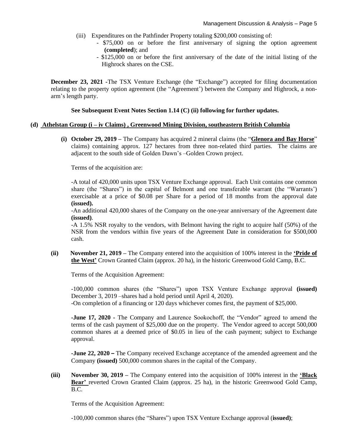- (iii) Expenditures on the Pathfinder Property totaling \$200,000 consisting of:
	- \$75,000 on or before the first anniversary of signing the option agreement **(completed**); and
	- \$125,000 on or before the first anniversary of the date of the initial listing of the Highrock shares on the CSE.

**December 23, 2021 -The TSX Venture Exchange (the "Exchange")** accepted for filing documentation relating to the property option agreement (the "Agreement') between the Company and Highrock, a nonarm's length party.

#### **See Subsequent Event Notes Section 1.14 (C) (ii) following for further updates.**

#### **(d) Athelstan Group (i – iv Claims) , Greenwood Mining Division, southeastern British Columbia**

**(i) October 29, 2019 –** The Company has acquired 2 mineral claims (the "**Glenora and Bay Horse**" claims) containing approx. 127 hectares from three non-related third parties. The claims are adjacent to the south side of Golden Dawn's –Golden Crown project.

Terms of the acquisition are:

-A total of 420,000 units upon TSX Venture Exchange approval. Each Unit contains one common share (the "Shares") in the capital of Belmont and one transferable warrant (the "Warrants') exercisable at a price of \$0.08 per Share for a period of 18 months from the approval date **(issued).**

-An additional 420,000 shares of the Company on the one-year anniversary of the Agreement date **(issued)**.

-A 1.5% NSR royalty to the vendors, with Belmont having the right to acquire half (50%) of the NSR from the vendors within five years of the Agreement Date in consideration for \$500,000 cash.

**(ii) November 21, 2019 –** The Company entered into the acquisition of 100% interest in the **'Pride of the West'** Crown Granted Claim (approx. 20 ha), in the historic Greenwood Gold Camp, B.C.

Terms of the Acquisition Agreement:

-100,000 common shares (the "Shares") upon TSX Venture Exchange approval **(issued)** December 3, 2019 –shares had a hold period until April 4, 2020).

-On completion of a financing or 120 days whichever comes first, the payment of \$25,000.

**-June 17, 2020 -** The Company and Laurence Sookochoff, the "Vendor" agreed to amend the terms of the cash payment of \$25,000 due on the property. The Vendor agreed to accept 500,000 common shares at a deemed price of \$0.05 in lieu of the cash payment; subject to Exchange approval.

**-June 22, 2020 –** The Company received Exchange acceptance of the amended agreement and the Company **(issued)** 500,000 common shares in the capital of the Company.

**(iii) November 30, 2019 –** The Company entered into the acquisition of 100% interest in the **'Black**  Bear' reverted Crown Granted Claim (approx. 25 ha), in the historic Greenwood Gold Camp, B.C.

Terms of the Acquisition Agreement:

-100,000 common shares (the "Shares") upon TSX Venture Exchange approval (**issued)**;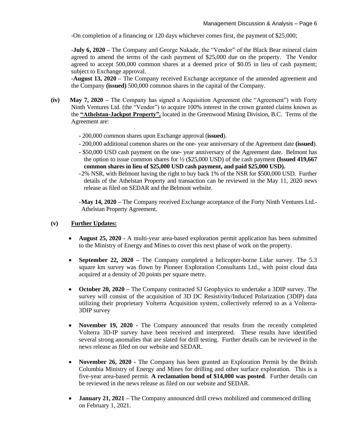-On completion of a financing or 120 days whichever comes first, the payment of \$25,000;

**-July 6, 2020 –** The Company and George Nakade, the "Vendor" of the Black Bear mineral claim agreed to amend the terms of the cash payment of \$25,000 due on the property. The Vendor agreed to accept 500,000 common shares at a deemed price of \$0.05 in lieu of cash payment; subject to Exchange approval.

**-August 13, 2020 –** The Company received Exchange acceptance of the amended agreement and the Company **(issued)** 500,000 common shares in the capital of the Company.

- **(iv) May 7, 2020 –** The Company has signed a Acquisition Agreement (the "Agreement") with Forty Ninth Ventures Ltd. (the "Vendor") to acquire 100% interest in the crown granted claims known as the **"Athelstan-Jackpot Property",** located in the Greenwood Mining Division, B.C. Terms of the Agreement are:
	- 200,000 common shares upon Exchange approval (**issued**).
	- 200,000 additional common shares on the one- year anniversary of the Agreement date **(issued**).
	- \$50,000 USD cash payment on the one- year anniversary of the Agreement date. Belmont has the option to issue common shares for ½ (\$25,000 USD) of the cash payment **(Issued 419,667 common shares in lieu of \$25,000 USD cash payment, and paid \$25,000 USD).**
	- -2% NSR, with Belmont having the right to buy back 1% of the NSR for \$500,000 USD. Further details of the Athelstan Property and transaction can be reviewed in the May 11, 2020 news release as filed on SEDAR and the Belmont website.

-**May 14, 2020 –** The Company received Exchange acceptance of the Forty Ninth Ventures Ltd.- Athelstan Property Agreement.

# **(v) Further Updates:**

- **August 25, 2020 -** A multi-year area-based exploration permit application has been submitted to the Ministry of Energy and Mines to cover this next phase of work on the property.
- **September 22, 2020** The Company completed a helicopter-borne Lidar survey. The 5.3 square km survey was flown by Pioneer Exploration Consultants Ltd., with point cloud data acquired at a density of 20 points per square metre.
- **October 20, 2020 –** The Company contracted SJ Geophysics to undertake a 3DIP survey. The survey will consist of the acquisition of 3D DC Resistivity/Induced Polarization (3DIP) data utilizing their proprietary Volterra Acquisition system, collectively referred to as a Volterra-3DIP survey
- **November 19, 2020** The Company announced that results from the recently completed Volterra 3D-IP survey have been received and interpreted. These results have identified several strong anomalies that are slated for drill testing. Further details can be reviewed in the news release as filed on our website and SEDAR.
- **November 26, 2020 -** The Company has been granted an Exploration Permit by the British Columbia Ministry of Energy and Mines for drilling and other surface exploration. This is a five-year area-based permit. **A reclamation bond of \$14,000 was posted**. Further details can be reviewed in the news release as filed on our website and SEDAR.
- **January 21, 2021** The Company announced drill crews mobilized and commenced drilling on February 1, 2021.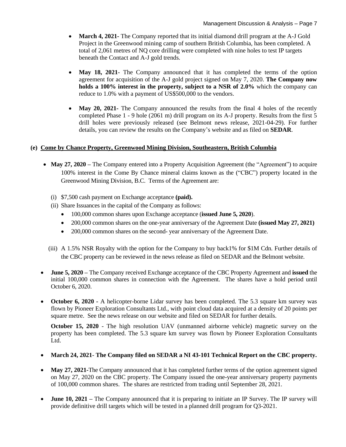- **March 4, 2021-** The Company reported that its initial diamond drill program at the A-J Gold Project in the Greenwood mining camp of southern British Columbia, has been completed. A total of 2,061 metres of NQ core drilling were completed with nine holes to test IP targets beneath the Contact and A-J gold trends.
- **May 18, 2021** The Company announced that it has completed the terms of the option agreement for acquisition of the A-J gold project signed on May 7, 2020. **The Company now holds a 100% interest in the property, subject to a NSR of 2.0%** which the company can reduce to 1.0% with a payment of US\$500,000 to the vendors.
- May 20, 2021- The Company announced the results from the final 4 holes of the recently completed Phase 1 - 9 hole (2061 m) drill program on its A-J property. Results from the first 5 drill holes were previously released (see Belmont news release, 2021-04-29). For further details, you can review the results on the Company's website and as filed on **SEDAR**.

# **(e) Come by Chance Property, Greenwood Mining Division, Southeastern, British Columbia**

- May 27, 2020 The Company entered into a Property Acquisition Agreement (the "Agreement") to acquire 100% interest in the Come By Chance mineral claims known as the ("CBC") property located in the Greenwood Mining Division, B.C. Terms of the Agreement are:
	- (i) \$7,500 cash payment on Exchange acceptance **(paid).**
	- (ii) Share Issuances in the capital of the Company as follows:
		- 100,000 common shares upon Exchange acceptance (**issued June 5, 2020**).
		- 200,000 common shares on the one-year anniversary of the Agreement Date **(issued May 27, 2021)**
		- 200,000 common shares on the second- year anniversary of the Agreement Date.
	- (iii) A 1.5% NSR Royalty with the option for the Company to buy back1% for \$1M Cdn. Further details of the CBC property can be reviewed in the news release as filed on SEDAR and the Belmont website.
- **June 5, 2020 –** The Company received Exchange acceptance of the CBC Property Agreement and **issued** the initial 100,000 common shares in connection with the Agreement. The shares have a hold period until October 6, 2020.
- **October 6, 2020 -** A helicopter-borne Lidar survey has been completed. The 5.3 square km survey was flown by Pioneer Exploration Consultants Ltd., with point cloud data acquired at a density of 20 points per square metre. See the news release on our website and filed on SEDAR for further details.

**October 15, 2020** - The high resolution UAV (unmanned airborne vehicle) magnetic survey on the property has been completed. The 5.3 square km survey was flown by Pioneer Exploration Consultants Ltd.

# • **March 24, 2021**- **The Company filed on SEDAR a NI 43-101 Technical Report on the CBC property.**

- **May 27, 2021-The Company announced that it has completed further terms of the option agreement signed** on May 27, 2020 on the CBC property. The Company issued the one-year anniversary property payments of 100,000 common shares. The shares are restricted from trading until September 28, 2021.
- **June 10, 2021** The Company announced that it is preparing to initiate an IP Survey. The IP survey will provide definitive drill targets which will be tested in a planned drill program for Q3-2021.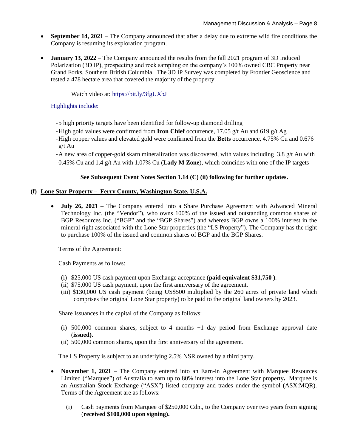- **September 14, 2021** The Company announced that after a delay due to extreme wild fire conditions the Company is resuming its exploration program.
- **January 13, 2022** The Company announced the results from the fall 2021 program of 3D Induced Polarization (3D IP), prospecting and rock sampling on the company's 100% owned CBC Property near Grand Forks, Southern British Columbia. The 3D IP Survey was completed by Frontier Geoscience and tested a 478 hectare area that covered the majority of the property.

Watch video at:<https://bit.ly/3fgUXbJ>

# Highlights include:

- -5 high priority targets have been identified for follow-up diamond drilling
- -High gold values were confirmed from **Iron Chief** occurrence, 17.05 g/t Au and 619 g/t Ag
- -High copper values and elevated gold were confirmed from the **Betts** occurrence, 4.75% Cu and 0.676 g/t Au
- -A new area of copper-gold skarn mineralization was discovered, with values including 3.8 g/t Au with 0.45% Cu and 1.4 g/t Au with 1.07% Cu (**Lady M Zone**), which coincides with one of the IP targets

# **See Subsequent Event Notes Section 1.14 (C) (ii) following for further updates.**

# **(f) Lone Star Property – Ferry County, Washington State, U.S.A.**

• **July 26, 2021 –** The Company entered into a Share Purchase Agreement with Advanced Mineral Technology Inc. (the "Vendor"), who owns 100% of the issued and outstanding common shares of BGP Resources Inc. ("BGP" and the "BGP Shares") and whereas BGP owns a 100% interest in the mineral right associated with the Lone Star properties (the "LS Property"). The Company has the right to purchase 100% of the issued and common shares of BGP and the BGP Shares.

Terms of the Agreement:

Cash Payments as follows:

- (i) \$25,000 US cash payment upon Exchange acceptance (**paid equivalent \$31,750 )**.
- (ii) \$75,000 US cash payment, upon the first anniversary of the agreement.
- (iii) \$130,000 US cash payment (being US\$500 multiplied by the 260 acres of private land which comprises the original Lone Star property) to be paid to the original land owners by 2023.

Share Issuances in the capital of the Company as follows:

- (i) 500,000 common shares, subject to 4 months +1 day period from Exchange approval date (**issued).**
- (ii) 500,000 common shares, upon the first anniversary of the agreement.

The LS Property is subject to an underlying 2.5% NSR owned by a third party.

- **November 1, 2021** The Company entered into an Earn-in Agreement with Marquee Resources Limited ("Marquee") of Australia to earn up to 80% interest into the Lone Star property**.** Marquee is an Australian Stock Exchange ("ASX") listed company and trades under the symbol (ASX:MQR). Terms of the Agreement are as follows:
	- (i) Cash payments from Marquee of \$250,000 Cdn., to the Company over two years from signing (**received \$100,000 upon signing).**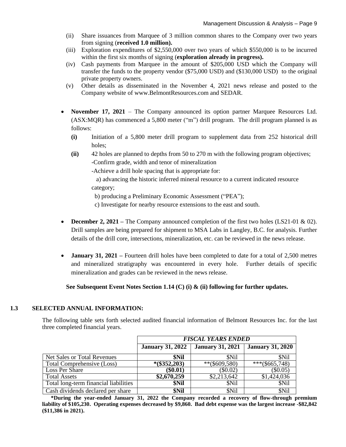- (ii) Share issuances from Marquee of 3 million common shares to the Company over two years from signing (**received 1.0 million).**
- (iii) Exploration expenditures of \$2,550,000 over two years of which \$550,000 is to be incurred within the first six months of signing (**exploration already in progress).**
- (iv) Cash payments from Marquee in the amount of \$205,000 USD which the Company will transfer the funds to the property vendor (\$75,000 USD) and (\$130,000 USD) to the original private property owners.
- (v) Other details as disseminated in the November 4, 2021 news release and posted to the Company website of www.BelmontResources.com and SEDAR.
- **November 17, 2021** The Company announced its option partner Marquee Resources Ltd. (ASX:MQR) has commenced a 5,800 meter ("m") drill program. The drill program planned is as follows:
	- **(i)** Initiation of a 5,800 meter drill program to supplement data from 252 historical drill holes;
	- **(ii)** 42 holes are planned to depths from 50 to 270 m with the following program objectives; -Confirm grade, width and tenor of mineralization

-Achieve a drill hole spacing that is appropriate for:

 a) advancing the historic inferred mineral resource to a current indicated resource category;

b) producing a Preliminary Economic Assessment ("PEA");

- c) Investigate for nearby resource extensions to the east and south.
- **December 2, 2021** The Company announced completion of the first two holes (LS21-01 & 02). Drill samples are being prepared for shipment to MSA Labs in Langley, B.C. for analysis. Further details of the drill core, intersections, mineralization, etc. can be reviewed in the news release.
- **January 31, 2021** Fourteen drill holes have been completed to date for a total of 2,500 metres and mineralized stratigraphy was encountered in every hole. Further details of specific mineralization and grades can be reviewed in the news release.

# **See Subsequent Event Notes Section 1.14 (C) (i) & (ii) following for further updates.**

#### **1.3 SELECTED ANNUAL INFORMATION:**

The following table sets forth selected audited financial information of Belmont Resources Inc. for the last three completed financial years.

|                                       | <b>FISCAL YEARS ENDED</b> |                         |                         |
|---------------------------------------|---------------------------|-------------------------|-------------------------|
|                                       | <b>January 31, 2022</b>   | <b>January 31, 2021</b> | <b>January 31, 2020</b> |
| Net Sales or Total Revenues           | \$Nil                     | <b>SNil</b>             | <b>SNil</b>             |
| Total Comprehensive (Loss)            | $*(\$352,203)$            | $**$ (\$609,580)        | $***$ (\$665,748)       |
| Loss Per Share                        | $(\$0.01)$                | $(\$0.02)$              | $(\$0.05)$              |
| <b>Total Assets</b>                   | \$2,670,259               | \$2,213,642             | \$1,424,036             |
| Total long-term financial liabilities | \$Nil                     | \$Nil                   | \$Nil                   |
| Cash dividends declared per share     | \$Nil                     | \$Nil                   | \$Nil                   |

**\*During the year-ended January 31, 2022 the Company recorded a recovery of flow-through premium liability of \$105,230. Operating expenses decreased by \$9,860. Bad debt expense was the largest increase -\$82,842 (\$11,386 in 2021).**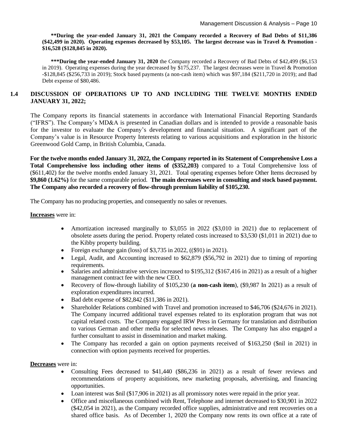**\*\*During the year-ended January 31, 2021 the Company recorded a Recovery of Bad Debts of \$11,386 (\$42,499 in 2020). Operating expenses decreased by \$53,105. The largest decrease was in Travel & Promotion - \$16,528 (\$128,845 in 2020).**

**\*\*\*During the year-ended January 31, 2020** the Company recorded a Recovery of Bad Debts of \$42,499 (\$6,153 in 2019). Operating expenses during the year decreased by \$175,237. The largest decreases were in Travel & Promotion -\$128,845 (\$256,733 in 2019); Stock based payments (a non-cash item) which was \$97,184 (\$211,720 in 2019); and Bad Debt expense of \$80,486.

### **1.4 DISCUSSION OF OPERATIONS UP TO AND INCLUDING THE TWELVE MONTHS ENDED JANUARY 31, 2022;**

The Company reports its financial statements in accordance with International Financial Reporting Standards ("IFRS"). The Company's MD&A is presented in Canadian dollars and is intended to provide a reasonable basis for the investor to evaluate the Company's development and financial situation. A significant part of the Company's value is in Resource Property Interests relating to various acquisitions and exploration in the historic Greenwood Gold Camp, in British Columbia, Canada.

**For the twelve months ended January 31, 2022, the Company reported in its Statement of Comprehensive Loss a Total Comprehensive loss including other items of (\$352,203)** compared to a Total Comprehensive loss of (\$611,402) for the twelve months ended January 31, 2021. Total operating expenses before Other Items decreased by **\$9,860 (1.62%)** for the same comparable period. **The main decreases were in consulting and stock based payment. The Company also recorded a recovery of flow-through premium liability of \$105,230.**

The Company has no producing properties, and consequently no sales or revenues.

**Increases** were in:

- Amortization increased marginally to \$3,055 in 2022 (\$3,010 in 2021) due to replacement of obsolete assets during the period. Property related costs increased to \$3,530 (\$1,011 in 2021) due to the Kibby property building.
- Foreign exchange gain (loss) of \$3,735 in 2022,  $((\$91)$  in 2021).
- Legal, Audit, and Accounting increased to \$62,879 (\$56,792 in 2021) due to timing of reporting requirements.
- Salaries and administrative services increased to \$195,312 (\$167,416 in 2021) as a result of a higher management contract fee with the new CEO.
- Recovery of flow-through liability of \$105,230 (**a non-cash item**), (\$9,987 In 2021) as a result of exploration expenditures incurred.
- Bad debt expense of \$82,842 (\$11,386 in 2021).
- Shareholder Relations combined with Travel and promotion increased to \$46,706 (\$24,676 in 2021). The Company incurred additional travel expenses related to its exploration program that was not capital related costs. The Company engaged IRW Press in Germany for translation and distribution to various German and other media for selected news releases. The Company has also engaged a further consultant to assist in dissemination and market making.
- The Company has recorded a gain on option payments received of \$163,250 (\$nil in 2021) in connection with option payments received for properties.

**Decreases** were in:

- Consulting Fees decreased to \$41,440 (\$86,236 in 2021) as a result of fewer reviews and recommendations of property acquisitions, new marketing proposals, advertising, and financing opportunities.
- Loan interest was \$nil (\$17,906 in 2021) as all promissory notes were repaid in the prior year.
- Office and miscellaneous combined with Rent, Telephone and internet decreased to \$30,901 in 2022 (\$42,054 in 2021), as the Company recorded office supplies, administrative and rent recoveries on a shared office basis. As of December 1, 2020 the Company now rents its own office at a rate of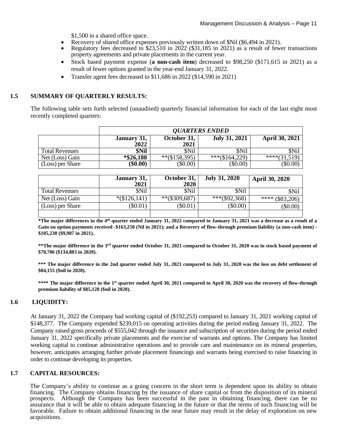\$1,500 in a shared office space.

- Recovery of shared office expenses previously written down of \$Nil (\$6,494 in 2021).
- Regulatory fees decreased to \$23,510 in 2022 (\$31,185 in 2021) as a result of fewer transactions property agreements and private placements in the current year.
- Stock based payment expense (**a non-cash item**) decreased to \$98,250 (\$171,615 in 2021) as a result of fewer options granted in the year-end January 31, 2022.
- Transfer agent fees decreased to \$11,686 in 2022 (\$14,590 in 2021)

#### **1.5 SUMMARY OF QUARTERLY RESULTS:**

The following table sets forth selected (unaudited) quarterly financial information for each of the last eight most recently completed quarters:

|                       | <b><i>OUARTERS ENDED</i></b> |                     |                      |                       |
|-----------------------|------------------------------|---------------------|----------------------|-----------------------|
|                       | January 31,<br>2022          | October 31,<br>2021 | <b>July 31, 2021</b> | <b>April 30, 2021</b> |
| <b>Total Revenues</b> | \$Nil                        | \$Nil               | \$Nil                | \$Nil                 |
| Net (Loss) Gain       | $*$ \$26,188                 | $**(\$158,395)$     | ***(\$164,229)       | $***(31,519)$         |
| (Loss) per Share      | $(\$0.00)$                   | $(\$0.00)$          | $(\$0.00)$           | (\$0.00)              |

|                       | January 31,<br>2021 | October 31,<br><b>2020</b> | <b>July 31, 2020</b> | <b>April 30, 2020</b> |
|-----------------------|---------------------|----------------------------|----------------------|-----------------------|
| <b>Total Revenues</b> | <b>SNil</b>         | \$Nil                      | \$Nil                | \$Nil                 |
| Net (Loss) Gain       | $*(\$126,141)$      | $**(\$309,687)$            | ***(\$92,368)        | **** $(\$83,206)$     |
| (Loss) per Share      | $(\$0.01)$          | $(\$0.01)$                 | $(\$0.00)$           | $(\$0.00)$            |
|                       |                     |                            |                      |                       |

**\*The major differences in the 4th quarter ended January 31, 2022 compared to January 31, 2021 was a decrease as a result of a Gain on option payments received -\$163,250 (Nil in 2021); and a Recovery of flow-through premium liability (a non-cash item) - \$105,230 (\$9,987 in 2021).**

**\*\*The major difference in the 3rd quarter ended October 31, 2021 compared to October 31, 2020 was in stock based payment of \$70,706 (\$134,883 in 2020).**

**\*\*\* The major difference in the 2nd quarter ended July 31, 2021 compared to July 31, 2020 was the loss on debt settlement of \$84,155 (\$nil in 2020).**

**\*\*\*\* The major difference in the 1 st quarter ended April 30, 2021 compared to April 30, 2020 was the recovery of flow-through premium liability of \$85,128 (\$nil in 2020).**

#### **1.6 LIQUIDITY:**

At January 31, 2022 the Company had working capital of (\$192,253) compared to January 31, 2021 working capital of \$148,377. The Company expended \$239,015 on operating activities during the period ending January 31, 2022. The Company raised gross proceeds of \$555,042 through the issuance and subscription of securities during the period ended January 31, 2022 specifically private placements and the exercise of warrants and options. The Company has limited working capital to continue administrative operations and to provide care and maintenance on its mineral properties, however, anticipates arranging further private placement financings and warrants being exercised to raise financing in order to continue developing its properties.

#### **1.7 CAPITAL RESOURCES:**

The Company's ability to continue as a going concern in the short term is dependent upon its ability to obtain financing. The Company obtains financing by the issuance of share capital or from the disposition of its mineral prospects. Although the Company has been successful in the past in obtaining financing, there can be no assurance that it will be able to obtain adequate financing in the future or that the terms of such financing will be favorable. Failure to obtain additional financing in the near future may result in the delay of exploration on new acquisitions.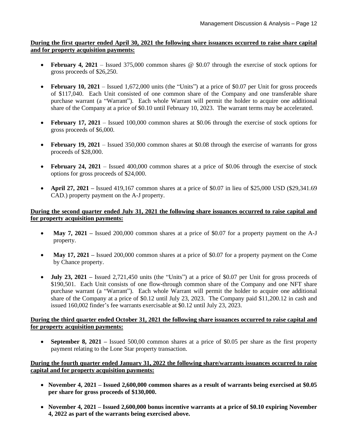**During the first quarter ended April 30, 2021 the following share issuances occurred to raise share capital and for property acquisition payments:**

- **February 4, 2021** Issued 375,000 common shares @ \$0.07 through the exercise of stock options for gross proceeds of \$26,250.
- **February 10, 2021** Issued 1,672,000 units (the "Units") at a price of \$0.07 per Unit for gross proceeds of \$117,040. Each Unit consisted of one common share of the Company and one transferable share purchase warrant (a "Warrant"). Each whole Warrant will permit the holder to acquire one additional share of the Company at a price of \$0.10 until February 10, 2023. The warrant terms may be accelerated.
- **February 17, 2021**  Issued 100,000 common shares at \$0.06 through the exercise of stock options for gross proceeds of \$6,000.
- **February 19, 2021** Issued 350,000 common shares at \$0.08 through the exercise of warrants for gross proceeds of \$28,000.
- **February 24, 2021** Issued 400,000 common shares at a price of \$0.06 through the exercise of stock options for gross proceeds of \$24,000.
- **April 27, 2021** Issued 419,167 common shares at a price of \$0.07 in lieu of \$25,000 USD (\$29,341.69) CAD.) property payment on the A-J property.

### **During the second quarter ended July 31, 2021 the following share issuances occurred to raise capital and for property acquisition payments:**

- **May 7, 2021** Issued 200,000 common shares at a price of \$0.07 for a property payment on the A-J property.
- **May 17, 2021** Issued 200,000 common shares at a price of \$0.07 for a property payment on the Come by Chance property.
- **July 23, 2021 –** Issued 2,721,450 units (the "Units") at a price of \$0.07 per Unit for gross proceeds of \$190,501. Each Unit consists of one flow-through common share of the Company and one NFT share purchase warrant (a "Warrant"). Each whole Warrant will permit the holder to acquire one additional share of the Company at a price of \$0.12 until July 23, 2023. The Company paid \$11,200.12 in cash and issued 160,002 finder's fee warrants exercisable at \$0.12 until July 23, 2023.

#### **During the third quarter ended October 31, 2021 the following share issuances occurred to raise capital and for property acquisition payments:**

• **September 8, 2021 –** Issued 500,00 common shares at a price of \$0.05 per share as the first property payment relating to the Lone Star property transaction.

#### **During the fourth quarter ended January 31, 2022 the following share/warrants issuances occurred to raise capital and for property acquisition payments:**

- **November 4, 2021 – Issued 2,600,000 common shares as a result of warrants being exercised at \$0.05 per share for gross proceeds of \$130,000.**
- **November 4, 2021 – Issued 2,600,000 bonus incentive warrants at a price of \$0.10 expiring November 4, 2022 as part of the warrants being exercised above.**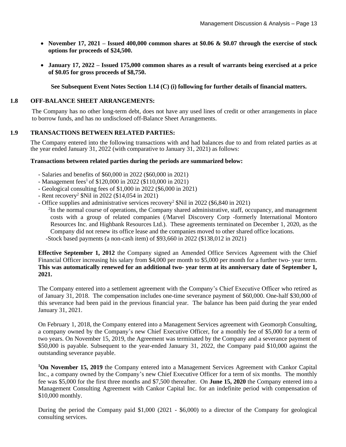- **November 17, 2021 – Issued 400,000 common shares at \$0.06 & \$0.07 through the exercise of stock options for proceeds of \$24,500.**
- **January 17, 2022 – Issued 175,000 common shares as a result of warrants being exercised at a price of \$0.05 for gross proceeds of \$8,750.**

**See Subsequent Event Notes Section 1.14 (C) (i) following for further details of financial matters.**

#### **1.8 OFF-BALANCE SHEET ARRANGEMENTS:**

The Company has no other long-term debt, does not have any used lines of credit or other arrangements in place to borrow funds, and has no undisclosed off-Balance Sheet Arrangements.

#### **1.9 TRANSACTIONS BETWEEN RELATED PARTIES:**

The Company entered into the following transactions with and had balances due to and from related parties as at the year ended January 31, 2022 (with comparative to January 31, 2021) as follows:

#### **Transactions between related parties during the periods are summarized below:**

- Salaries and benefits of \$60,000 in 2022 (\$60,000 in 2021)
- Management fees<sup>1</sup> of \$120,000 in 2022 (\$110,000 in 2021)
- Geological consulting fees of \$1,000 in 2022 (\$6,000 in 2021)
- Rent recovery<sup>2</sup>  $$Nil in 2022 ($14,054 in 2021)$
- Office supplies and administrative services recovery<sup>2</sup> \$Nil in 2022 (\$6,840 in 2021)

<sup>2</sup>In the normal course of operations, the Company shared administrative, staff, occupancy, and management costs with a group of related companies (/Marvel Discovery Corp -formerly International Montoro Resources Inc. and Highbank Resources Ltd.). These agreements terminated on December 1, 2020, as the Company did not renew its office lease and the companies moved to other shared office locations. -Stock based payments (a non-cash item) of \$93,660 in 2022 (\$138,012 in 2021)

**Effective September 1, 2012** the Company signed an Amended Office Services Agreement with the Chief Financial Officer increasing his salary from \$4,000 per month to \$5,000 per month for a further two- year term. **This was automatically renewed for an additional two- year term at its anniversary date of September 1, 2021.**

The Company entered into a settlement agreement with the Company's Chief Executive Officer who retired as of January 31, 2018. The compensation includes one-time severance payment of \$60,000. One-half \$30,000 of this severance had been paid in the previous financial year. The balance has been paid during the year ended January 31, 2021.

On February 1, 2018, the Company entered into a Management Services agreement with Geomorph Consulting, a company owned by the Company's new Chief Executive Officer, for a monthly fee of \$5,000 for a term of two years. On November 15, 2019, the Agreement was terminated by the Company and a severance payment of \$50,000 is payable. Subsequent to the year-ended January 31, 2022, the Company paid \$10,000 against the outstanding severance payable.

**<sup>1</sup>On November 15, 2019** the Company entered into a Management Services Agreement with Cankor Capital Inc., a company owned by the Company's new Chief Executive Officer for a term of six months. The monthly fee was \$5,000 for the first three months and \$7,500 thereafter. On **June 15, 2020** the Company entered into a Management Consulting Agreement with Cankor Capital Inc. for an indefinite period with compensation of \$10,000 monthly.

During the period the Company paid \$1,000 (2021 - \$6,000) to a director of the Company for geological consulting services.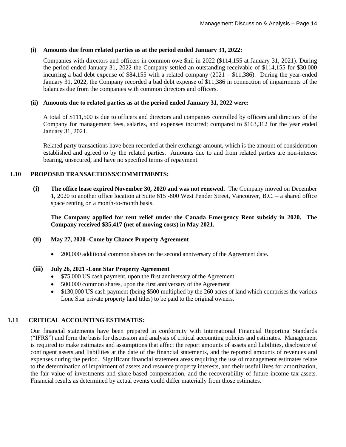#### **(i) Amounts due from related parties as at the period ended January 31, 2022:**

Companies with directors and officers in common owe \$nil in 2022 (\$114,155 at January 31, 2021). During the period ended January 31, 2022 the Company settled an outstanding receivable of \$114,155 for \$30,000 incurring a bad debt expense of \$84,155 with a related company (2021 – \$11,386). During the year-ended January 31, 2022, the Company recorded a bad debt expense of \$11,386 in connection of impairments of the balances due from the companies with common directors and officers.

#### **(ii) Amounts due to related parties as at the period ended January 31, 2022 were:**

A total of \$111,500 is due to officers and directors and companies controlled by officers and directors of the Company for management fees, salaries, and expenses incurred; compared to \$163,312 for the year ended January 31, 2021.

Related party transactions have been recorded at their exchange amount, which is the amount of consideration established and agreed to by the related parties. Amounts due to and from related parties are non-interest bearing, unsecured, and have no specified terms of repayment.

#### **1.10 PROPOSED TRANSACTIONS/COMMITMENTS:**

**(i) The office lease expired November 30, 2020 and was not renewed.** The Company moved on December 1, 2020 to another office location at Suite 615 -800 West Pender Street, Vancouver, B.C. – a shared office space renting on a month-to-month basis.

**The Company applied for rent relief under the Canada Emergency Rent subsidy in 2020. The Company received \$35,417 (net of moving costs) in May 2021.**

- **(ii) May 27, 2020 -Come by Chance Property Agreement**
	- 200,000 additional common shares on the second anniversary of the Agreement date.

#### **(iii) July 26, 2021 -Lone Star Property Agreement**

- \$75,000 US cash payment, upon the first anniversary of the Agreement.
- 500,000 common shares, upon the first anniversary of the Agreement
- \$130,000 US cash payment (being \$500 multiplied by the 260 acres of land which comprises the various Lone Star private property land titles) to be paid to the original owners.

#### **1.11 CRITICAL ACCOUNTING ESTIMATES:**

Our financial statements have been prepared in conformity with International Financial Reporting Standards ("IFRS") and form the basis for discussion and analysis of critical accounting policies and estimates. Management is required to make estimates and assumptions that affect the report amounts of assets and liabilities, disclosure of contingent assets and liabilities at the date of the financial statements, and the reported amounts of revenues and expenses during the period. Significant financial statement areas requiring the use of management estimates relate to the determination of impairment of assets and resource property interests, and their useful lives for amortization, the fair value of investments and share-based compensation, and the recoverability of future income tax assets. Financial results as determined by actual events could differ materially from those estimates.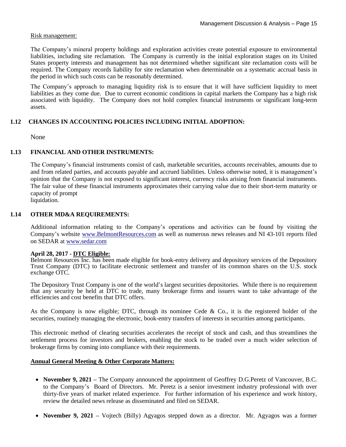#### Risk management:

The Company's mineral property holdings and exploration activities create potential exposure to environmental liabilities, including site reclamation. The Company is currently in the initial exploration stages on its United States property interests and management has not determined whether significant site reclamation costs will be required. The Company records liability for site reclamation when determinable on a systematic accrual basis in the period in which such costs can be reasonably determined.

The Company's approach to managing liquidity risk is to ensure that it will have sufficient liquidity to meet liabilities as they come due. Due to current economic conditions in capital markets the Company has a high risk associated with liquidity. The Company does not hold complex financial instruments or significant long-term assets.

#### **1.12 CHANGES IN ACCOUNTING POLICIES INCLUDING INITIAL ADOPTION:**

None

#### **1.13 FINANCIAL AND OTHER INSTRUMENTS:**

The Company's financial instruments consist of cash, marketable securities, accounts receivables, amounts due to and from related parties, and accounts payable and accrued liabilities. Unless otherwise noted, it is management's opinion that the Company is not exposed to significant interest, currency risks arising from financial instruments. The fair value of these financial instruments approximates their carrying value due to their short-term maturity or capacity of prompt

liquidation.

#### **1.14 OTHER MD&A REQUIREMENTS:**

Additional information relating to the Company's operations and activities can be found by visiting the Company's website [www.BelmontResources.com](http://www.belmontresources.com/) as well as numerous news releases and NI 43-101 reports filed on SEDAR at [www.sedar.com](http://www.sedar.com/)

#### **April 28, 2017 - DTC Eligible:**

Belmont Resources Inc. has been made eligible for book-entry delivery and depository services of the Depository Trust Company (DTC) to facilitate electronic settlement and transfer of its common shares on the U.S. stock exchange OTC.

The Depository Trust Company is one of the world's largest securities depositories. While there is no requirement that any security be held at DTC to trade, many brokerage firms and issuers want to take advantage of the efficiencies and cost benefits that DTC offers.

As the Company is now eligible; DTC, through its nominee Cede & Co., it is the registered holder of the securities, routinely managing the electronic, book-entry transfers of interests in securities among participants.

This electronic method of clearing securities accelerates the receipt of stock and cash, and thus streamlines the settlement process for investors and brokers, enabling the stock to be traded over a much wider selection of brokerage firms by coming into compliance with their requirements.

#### **Annual General Meeting & Other Corporate Matters:**

- **November 9, 2021 –** The Company announced the appointment of Geoffrey D.G.Peretz of Vancouver, B.C. to the Company's Board of Directors. Mr. Peretz is a senior investment industry professional with over thirty-five years of market related experience. For further information of his experience and work history, review the detailed news release as disseminated and filed on SEDAR.
- **November 9, 2021 –** Vojtech (Billy) Agyagos stepped down as a director. Mr. Agyagos was a former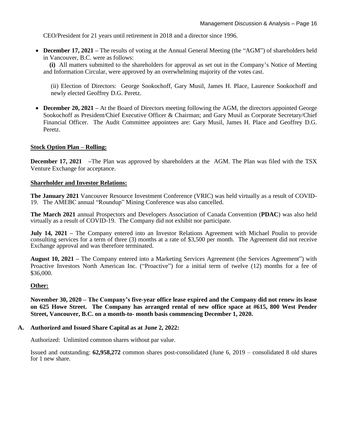CEO/President for 21 years until retirement in 2018 and a director since 1996.

• **December 17, 2021** – The results of voting at the Annual General Meeting (the "AGM") of shareholders held in Vancouver, B.C. were as follows:

 **(i)** All matters submitted to the shareholders for approval as set out in the Company's Notice of Meeting and Information Circular, were approved by an overwhelming majority of the votes cast.

(ii) Election of Directors: George Sookochoff, Gary Musil, James H. Place, Laurence Sookochoff and newly elected Geoffrey D.G. Peretz.

• **December 20, 2021** – At the Board of Directors meeting following the AGM, the directors appointed George Sookochoff as President/Chief Executive Officer & Chairman; and Gary Musil as Corporate Secretary/Chief Financial Officer. The Audit Committee appointees are: Gary Musil, James H. Place and Geoffrey D.G. Peretz.

#### **Stock Option Plan – Rolling:**

**December 17, 2021** –The Plan was approved by shareholders at the AGM. The Plan was filed with the TSX Venture Exchange for acceptance.

#### **Shareholder and Investor Relations:**

**The January 2021** Vancouver Resource Investment Conference (VRIC) was held virtually as a result of COVID-19. The AMEBC annual "Roundup" Mining Conference was also cancelled.

**The March 2021** annual Prospectors and Developers Association of Canada Convention (**PDAC**) was also held virtually as a result of COVID-19. The Company did not exhibit nor participate.

**July 14, 2021 –** The Company entered into an Investor Relations Agreement with Michael Poulin to provide consulting services for a term of three (3) months at a rate of \$3,500 per month. The Agreement did not receive Exchange approval and was therefore terminated.

**August 10, 2021 –** The Company entered into a Marketing Services Agreement (the Services Agreement") with Proactive Investors North American Inc. ("Proactive") for a initial term of twelve (12) months for a fee of \$36,000.

#### **Other:**

**November 30, 2020 – The Company's five-year office lease expired and the Company did not renew its lease on 625 Howe Street. The Company has arranged rental of new office space at #615, 800 West Pender Street, Vancouver, B.C. on a month-to- month basis commencing December 1, 2020.**

#### **A. Authorized and Issued Share Capital as at June 2, 2022:**

Authorized: Unlimited common shares without par value.

Issued and outstanding: **62,958,272** common shares post-consolidated (June 6, 2019 – consolidated 8 old shares for 1 new share.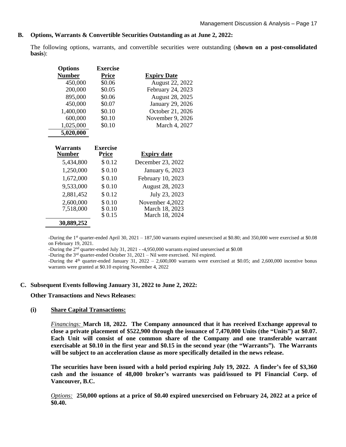#### **B. Options, Warrants & Convertible Securities Outstanding as at June 2, 2022:**

The following options, warrants, and convertible securities were outstanding (**shown on a post-consolidated basis**):

| <b>Options</b> | <b>Exercise</b> |                        |
|----------------|-----------------|------------------------|
| <b>Number</b>  | Price           | <b>Expiry Date</b>     |
| 450,000        | \$0.06          | <b>August 22, 2022</b> |
| 200,000        | \$0.05          | February 24, 2023      |
| 895,000        | \$0.06          | August 28, 2025        |
| 450,000        | \$0.07          | January 29, 2026       |
| 1,400,000      | \$0.10          | October 21, 2026       |
| 600,000        | \$0.10          | November 9, 2026       |
| 1,025,000      | \$0.10          | March 4, 2027          |
| 5,020,000      |                 |                        |
|                |                 |                        |
| Warrants       | <b>Exercise</b> |                        |
| <b>Number</b>  | <b>Price</b>    | <b>Expiry date</b>     |
| 5,434,800      | \$0.12          | December 23, 2022      |
| 1,250,000      | \$0.10          | January 6, 2023        |
| 1,672,000      | \$0.10          | February 10, 2023      |
| 9,533,000      | \$0.10          | August 28, 2023        |
| 2,881,452      | \$0.12          | July 23, 2023          |
| 2,600,000      | \$0.10          | November 4,2022        |
| 7,518,000      | \$0.10          | March 18, 2023         |
|                |                 |                        |
|                | \$0.15          | March 18, 2024         |

-During the 1<sup>st</sup> quarter-ended April 30, 2021 – 187,500 warrants expired unexercised at \$0.80; and 350,000 were exercised at \$0.08 on February 19, 2021.

-During the 2<sup>nd</sup> quarter-ended July 31, 2021 - -4,950,000 warrants expired unexercised at \$0.08

-During the 3rd quarter-ended October 31, 2021 – Nil were exercised. Nil expired.

-During the  $4<sup>th</sup>$  quarter-ended January 31, 2022 – 2,600,000 warrants were exercised at \$0.05; and 2,600,000 incentive bonus warrants were granted at \$0.10 expiring November 4, 2022

#### **C. Subsequent Events following January 31, 2022 to June 2, 2022:**

**Other Transactions and News Releases:**

#### **(i) Share Capital Transactions:**

*Financings:* **March 18, 2022. The Company announced that it has received Exchange approval to close a private placement of \$522,900 through the issuance of 7,470,000 Units (the "Units") at \$0.07. Each Unit will consist of one common share of the Company and one transferable warrant exercisable at \$0.10 in the first year and \$0.15 in the second year (the "Warrants"). The Warrants will be subject to an acceleration clause as more specifically detailed in the news release.**

**The securities have been issued with a hold period expiring July 19, 2022. A finder's fee of \$3,360 cash and the issuance of 48,000 broker's warrants was paid/issued to PI Financial Corp. of Vancouver, B.C.** 

*Options:* **250,000 options at a price of \$0.40 expired unexercised on February 24, 2022 at a price of \$0.40.**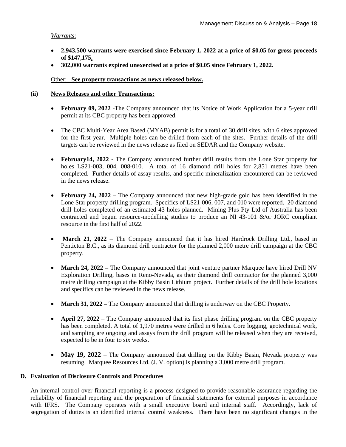#### *Warrants*:

- **2,943,500 warrants were exercised since February 1, 2022 at a price of \$0.05 for gross proceeds of \$147,175.**
- **302,000 warrants expired unexercised at a price of \$0.05 since February 1, 2022.**

#### Other: **See property transactions as news released below.**

#### **(ii) News Releases and other Transactions:**

- **February 09, 2022** -The Company announced that its Notice of Work Application for a 5-year drill permit at its CBC property has been approved.
- The CBC Multi-Year Area Based (MYAB) permit is for a total of 30 drill sites, with 6 sites approved for the first year. Multiple holes can be drilled from each of the sites. Further details of the drill targets can be reviewed in the news release as filed on SEDAR and the Company website.
- **February14, 2022 -** The Company announced further drill results from the Lone Star property for holes LS21-003, 004, 008-010. A total of 16 diamond drill holes for 2,851 metres have been completed. Further details of assay results, and specific mineralization encountered can be reviewed in the news release.
- **February 24, 2022 –** The Company announced that new high-grade gold has been identified in the Lone Star property drilling program. Specifics of LS21-006, 007, and 010 were reported. 20 diamond drill holes completed of an estimated 43 holes planned. Mining Plus Pty Ltd of Australia has been contracted and begun resource-modelling studies to produce an NI 43-101 &/or JORC compliant resource in the first half of 2022.
- March 21, 2022 The Company announced that it has hired Hardrock Drilling Ltd., based in Penticton B.C., as its diamond drill contractor for the planned 2,000 metre drill campaign at the CBC property.
- **March 24, 2022** The Company announced that joint venture partner Marquee have hired Drill NV Exploration Drilling, bases in Reno-Nevada, as their diamond drill contractor for the planned 3,000 metre drilling campaign at the Kibby Basin Lithium project. Further details of the drill hole locations and specifics can be reviewed in the news release.
- **March 31, 2022** The Company announced that drilling is underway on the CBC Property.
- **April 27, 2022** The Company announced that its first phase drilling program on the CBC property has been completed. A total of 1,970 metres were drilled in 6 holes. Core logging, geotechnical work, and sampling are ongoing and assays from the drill program will be released when they are received, expected to be in four to six weeks.
- **May 19, 2022** The Company announced that drilling on the Kibby Basin, Nevada property was resuming. Marquee Resources Ltd. (J. V. option) is planning a 3,000 metre drill program.

#### **D. Evaluation of Disclosure Controls and Procedures**

An internal control over financial reporting is a process designed to provide reasonable assurance regarding the reliability of financial reporting and the preparation of financial statements for external purposes in accordance with IFRS. The Company operates with a small executive board and internal staff. Accordingly, lack of segregation of duties is an identified internal control weakness. There have been no significant changes in the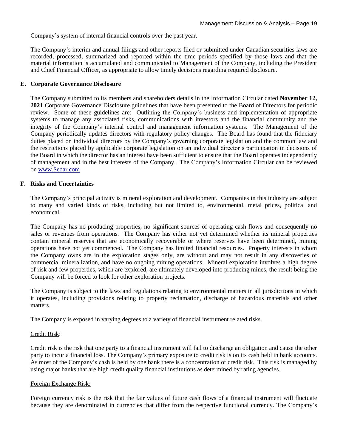Company's system of internal financial controls over the past year.

The Company's interim and annual filings and other reports filed or submitted under Canadian securities laws are recorded, processed, summarized and reported within the time periods specified by those laws and that the material information is accumulated and communicated to Management of the Company, including the President and Chief Financial Officer, as appropriate to allow timely decisions regarding required disclosure.

#### **E. Corporate Governance Disclosure**

The Company submitted to its members and shareholders details in the Information Circular dated **November 12, 2021** Corporate Governance Disclosure guidelines that have been presented to the Board of Directors for periodic review. Some of these guidelines are: Outlining the Company's business and implementation of appropriate systems to manage any associated risks, communications with investors and the financial community and the integrity of the Company's internal control and management information systems. The Management of the Company periodically updates directors with regulatory policy changes. The Board has found that the fiduciary duties placed on individual directors by the Company's governing corporate legislation and the common law and the restrictions placed by applicable corporate legislation on an individual director's participation in decisions of the Board in which the director has an interest have been sufficient to ensure that the Board operates independently of management and in the best interests of the Company. The Company's Information Circular can be reviewed on [www.Sedar.com](http://www.sedar.com/)

#### **F. Risks and Uncertainties**

The Company's principal activity is mineral exploration and development. Companies in this industry are subject to many and varied kinds of risks, including but not limited to, environmental, metal prices, political and economical.

The Company has no producing properties, no significant sources of operating cash flows and consequently no sales or revenues from operations. The Company has either not yet determined whether its mineral properties contain mineral reserves that are economically recoverable or where reserves have been determined, mining operations have not yet commenced. The Company has limited financial resources. Property interests in whom the Company owns are in the exploration stages only, are without and may not result in any discoveries of commercial mineralization, and have no ongoing mining operations. Mineral exploration involves a high degree of risk and few properties, which are explored, are ultimately developed into producing mines, the result being the Company will be forced to look for other exploration projects.

The Company is subject to the laws and regulations relating to environmental matters in all jurisdictions in which it operates, including provisions relating to property reclamation, discharge of hazardous materials and other matters.

The Company is exposed in varying degrees to a variety of financial instrument related risks.

#### Credit Risk:

Credit risk is the risk that one party to a financial instrument will fail to discharge an obligation and cause the other party to incur a financial loss. The Company's primary exposure to credit risk is on its cash held in bank accounts. As most of the Company's cash is held by one bank there is a concentration of credit risk. This risk is managed by using major banks that are high credit quality financial institutions as determined by rating agencies.

#### Foreign Exchange Risk:

Foreign currency risk is the risk that the fair values of future cash flows of a financial instrument will fluctuate because they are denominated in currencies that differ from the respective functional currency. The Company's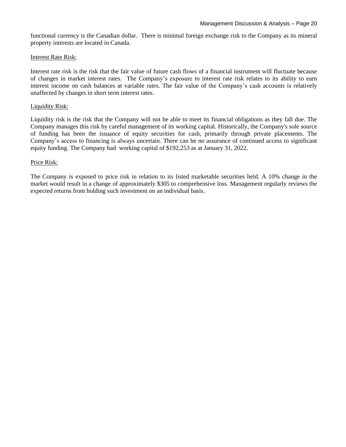functional currency is the Canadian dollar. There is minimal foreign exchange risk to the Company as its mineral property interests are located in Canada.

#### Interest Rate Risk:

Interest rate risk is the risk that the fair value of future cash flows of a financial instrument will fluctuate because of changes in market interest rates. The Company's exposure to interest rate risk relates to its ability to earn interest income on cash balances at variable rates. The fair value of the Company's cash accounts is relatively unaffected by changes in short term interest rates.

#### Liquidity Risk:

Liquidity risk is the risk that the Company will not be able to meet its financial obligations as they fall due. The Company manages this risk by careful management of its working capital. Historically, the Company's sole source of funding has been the issuance of equity securities for cash, primarily through private placements. The Company's access to financing is always uncertain. There can be no assurance of continued access to significant equity funding. The Company had working capital of \$192,253 as at January 31, 2022.

#### Price Risk:

The Company is exposed to price risk in relation to its listed marketable securities held. A 10% change in the market would result in a change of approximately \$305 to comprehensive loss. Management regularly reviews the expected returns from holding such investment on an individual basis.